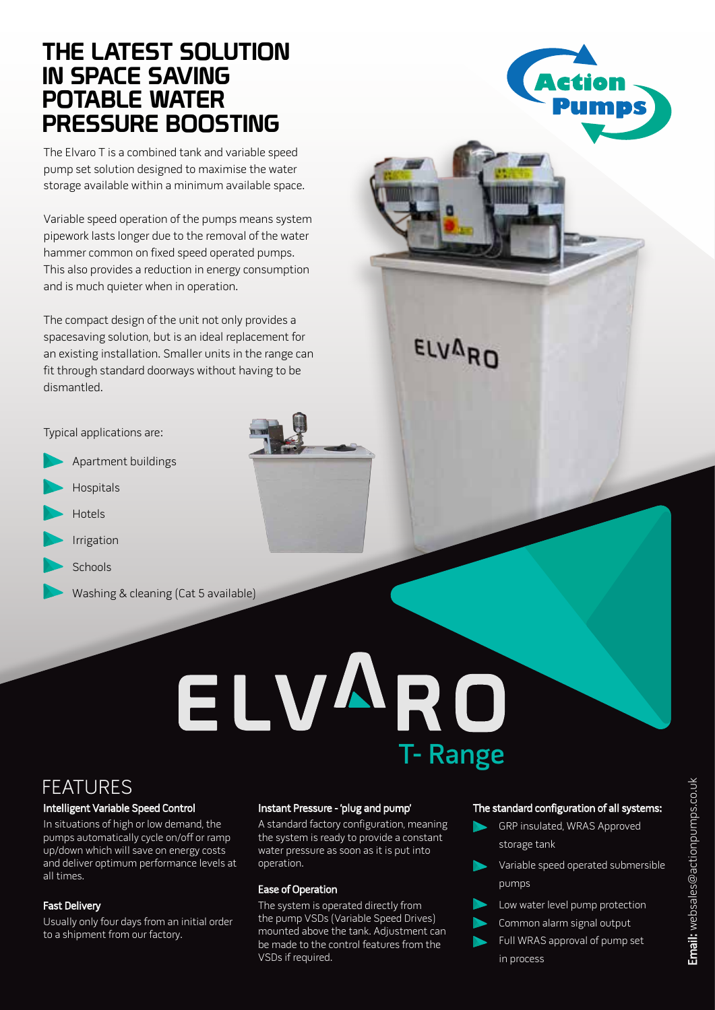## THE LATEST SOLUTION IN SPACE SAVING POTABLE WATER PRESSURE BOOSTING

The Elvaro T is a combined tank and variable speed pump set solution designed to maximise the water storage available within a minimum available space.

Variable speed operation of the pumps means system pipework lasts longer due to the removal of the water hammer common on fixed speed operated pumps. This also provides a reduction in energy consumption and is much quieter when in operation.

The compact design of the unit not only provides a spacesaving solution, but is an ideal replacement for an existing installation. Smaller units in the range can fit through standard doorways without having to be dismantled.

Typical applications are:

- Apartment buildings
- Hospitals

 $\overline{a}$ 

- Hotels
- Irrigation
- **Schools** 
	- Washing & cleaning (Cat 5 available)

# ELVARO T- Range

**ELVARD** 

## FEATURES

## Intelligent Variable Speed Control

In situations of high or low demand, the pumps automatically cycle on/off or ramp up/down which will save on energy costs and deliver optimum performance levels at all times.

## Fast Delivery

Usually only four days from an initial order to a shipment from our factory.

## Instant Pressure - 'plug and pump'

A standard factory configuration, meaning the system is ready to provide a constant water pressure as soon as it is put into operation.

## Ease of Operation

The system is operated directly from the pump VSDs (Variable Speed Drives) mounted above the tank. Adjustment can be made to the control features from the VSDs if required.

## The standard configuration of all systems:

- GRP insulated, WRAS Approved storage tank
- Variable speed operated submersible pumps
- Low water level pump protection
- Common alarm signal output
- Full WRAS approval of pump set in process